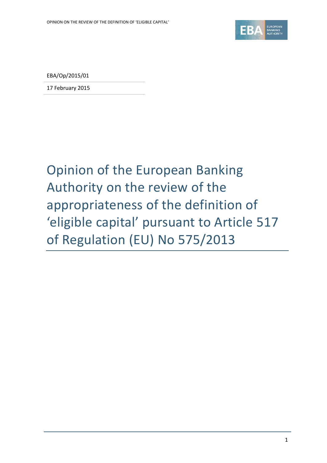

EBA/Op/2015/01

17 February 2015

## Opinion of the European Banking Authority on the review of the appropriateness of the definition of 'eligible capital' pursuant to Article 517 of Regulation (EU) No 575/2013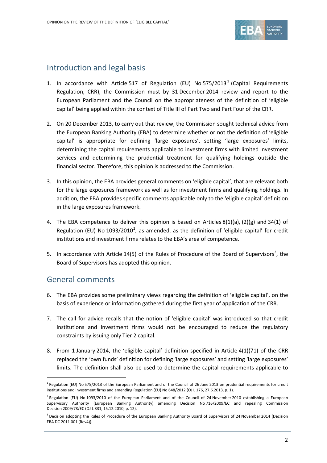

## Introduction and legal basis

- [1](#page-1-0). In accordance with Article 517 of Regulation (EU) No  $575/2013<sup>1</sup>$  (Capital Requirements Regulation, CRR), the Commission must by 31 December 2014 review and report to the European Parliament and the Council on the appropriateness of the definition of 'eligible capital' being applied within the context of Title III of Part Two and Part Four of the CRR.
- 2. On 20 December 2013, to carry out that review, the Commission sought technical advice from the European Banking Authority (EBA) to determine whether or not the definition of 'eligible capital' is appropriate for defining 'large exposures', setting 'large exposures' limits, determining the capital requirements applicable to investment firms with limited investment services and determining the prudential treatment for qualifying holdings outside the financial sector. Therefore, this opinion is addressed to the Commission.
- 3. In this opinion, the EBA provides general comments on 'eligible capital', that are relevant both for the large exposures framework as well as for investment firms and qualifying holdings. In addition, the EBA provides specific comments applicable only to the 'eligible capital' definition in the large exposures framework.
- 4. The EBA competence to deliver this opinion is based on Articles 8(1)(a), (2)(g) and 34(1) of Regulation (EU) No  $1093/2010^2$  $1093/2010^2$  $1093/2010^2$ , as amended, as the definition of 'eligible capital' for credit institutions and investment firms relates to the EBA's area of competence.
- 5. In accordance with Article  $14(5)$  of the Rules of Procedure of the Board of Supervisors<sup>[3](#page-1-2)</sup>, the Board of Supervisors has adopted this opinion.

## General comments

 $\overline{a}$ 

- 6. The EBA provides some preliminary views regarding the definition of 'eligible capital', on the basis of experience or information gathered during the first year of application of the CRR.
- 7. The call for advice recalls that the notion of 'eligible capital' was introduced so that credit institutions and investment firms would not be encouraged to reduce the regulatory constraints by issuing only Tier 2 capital.
- 8. From 1 January 2014, the 'eligible capital' definition specified in Article 4(1)(71) of the CRR replaced the 'own funds' definition for defining 'large exposures' and setting 'large exposures' limits. The definition shall also be used to determine the capital requirements applicable to

<span id="page-1-0"></span> $1$  Regulation (EU) No 575/2013 of the European Parliament and of the Council of 26 June 2013 on prudential requirements for credit institutions and investment firms and amending Regulation (EU) No 648/2012 (OJ L 176, 27.6.2013, p. 1).

<span id="page-1-1"></span> $^2$  Regulation (EU) No 1093/2010 of the European Parliament and of the Council of 24 November 2010 establishing a European Supervisory Authority (European Banking Authority) amending Decision No 716/2009/EC and repealing Commission Decision 2009/78/EC (OJ L 331, 15.12.2010, p. 12).

<span id="page-1-2"></span> $3$  Decision adopting the Rules of Procedure of the European Banking Authority Board of Supervisors of 24 November 2014 (Decision EBA DC 2011 001 (Rev4)).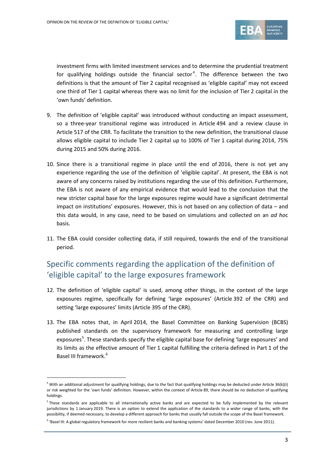

investment firms with limited investment services and to determine the prudential treatment for qualifying holdings outside the financial sector<sup>[4](#page-2-0)</sup>. The difference between the two definitions is that the amount of Tier 2 capital recognised as 'eligible capital' may not exceed one third of Tier 1 capital whereas there was no limit for the inclusion of Tier 2 capital in the 'own funds' definition.

- 9. The definition of 'eligible capital' was introduced without conducting an impact assessment, so a three-year transitional regime was introduced in Article 494 and a review clause in Article 517 of the CRR. To facilitate the transition to the new definition, the transitional clause allows eligible capital to include Tier 2 capital up to 100% of Tier 1 capital during 2014, 75% during 2015 and 50% during 2016.
- 10. Since there is a transitional regime in place until the end of 2016, there is not yet any experience regarding the use of the definition of 'eligible capital'. At present, the EBA is not aware of any concerns raised by institutions regarding the use of this definition. Furthermore, the EBA is not aware of any empirical evidence that would lead to the conclusion that the new stricter capital base for the large exposures regime would have a significant detrimental impact on institutions' exposures. However, this is not based on any collection of data – and this data would, in any case, need to be based on simulations and collected on an *ad ho*c basis.
- 11. The EBA could consider collecting data, if still required, towards the end of the transitional period.

## Specific comments regarding the application of the definition of 'eligible capital' to the large exposures framework

- 12. The definition of 'eligible capital' is used, among other things, in the context of the large exposures regime, specifically for defining 'large exposures' (Article 392 of the CRR) and setting 'large exposures' limits (Article 395 of the CRR).
- 13. The EBA notes that, in April 2014, the Basel Committee on Banking Supervision (BCBS) published standards on the supervisory framework for measuring and controlling large exposures<sup>[5](#page-2-1)</sup>. These standards specify the eligible capital base for defining 'large exposures' and its limits as the effective amount of Tier 1 capital fulfilling the criteria defined in Part 1 of the Basel III framework.<sup>[6](#page-2-2)</sup>

 $\overline{a}$ 

<span id="page-2-0"></span><sup>&</sup>lt;sup>4</sup> With an additional adjustment for qualifying holdings, due to the fact that qualifying holdings may be deducted under Article 36(k)(i) or risk weighted for the 'own funds' definition. However, within the context of Article 89, there should be no deduction of qualifying holdings.

<span id="page-2-1"></span><sup>&</sup>lt;sup>5</sup> These standards are applicable to all internationally active banks and are expected to be fully implemented by the relevant jurisdictions by 1 January 2019. There is an option to extend the application of the standards to a wider range of banks, with the possibility, if deemed necessary, to develop a different approach for banks that usually fall outside the scope of the Basel framework.

<span id="page-2-2"></span><sup>&</sup>lt;sup>6</sup> 'Basel III: A global regulatory framework for more resilient banks and banking systems' dated December 2010 (rev. June 2011).